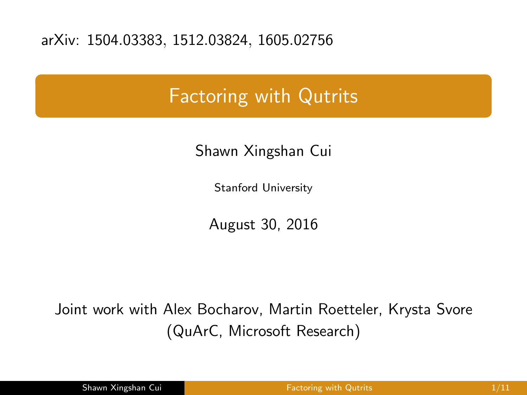#### <span id="page-0-0"></span>arXiv: 1504.03383, 1512.03824, 1605.02756

# Factoring with Qutrits

#### Shawn Xingshan Cui

Stanford University

August 30, 2016

### Joint work with Alex Bocharov, Martin Roetteler, Krysta Svore (QuArC, Microsoft Research)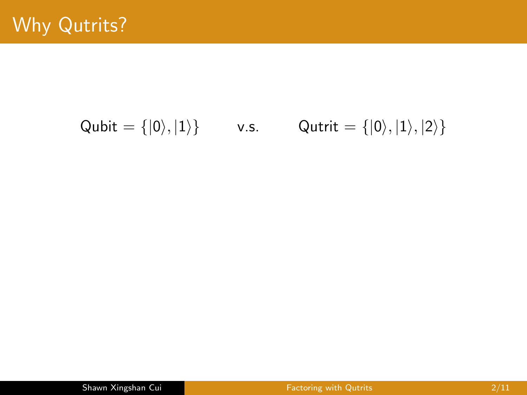### $\text{Qubit} = \{|0\rangle, |1\rangle\}$  v.s.  $\text{Qutrit} = \{|0\rangle, |1\rangle, |2\rangle\}$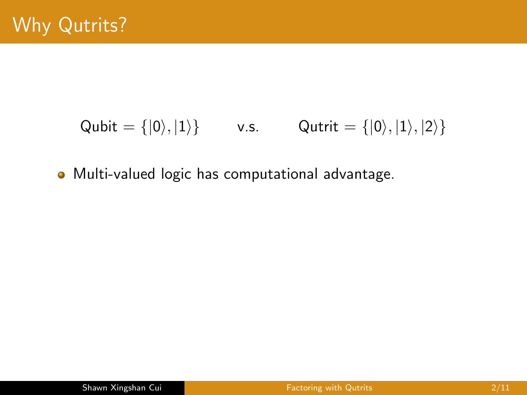### $\text{Qubit} = \{|0\rangle, |1\rangle\}$  v.s.  $\text{Qutrit} = \{|0\rangle, |1\rangle, |2\rangle\}$

Multi-valued logic has computational advantage.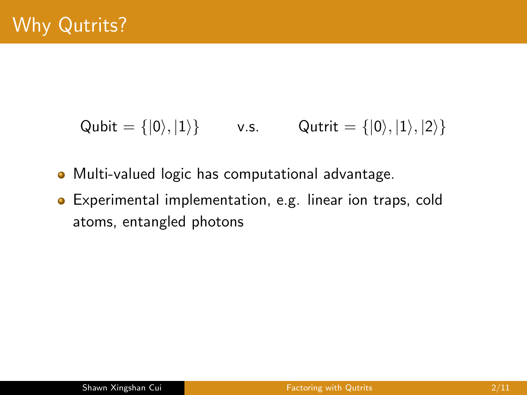### $Qubit = \{|0\rangle, |1\rangle\}$  v.s.  $Qutrit = \{|0\rangle, |1\rangle, |2\rangle\}$

- Multi-valued logic has computational advantage.
- Experimental implementation, e.g. linear ion traps, cold atoms, entangled photons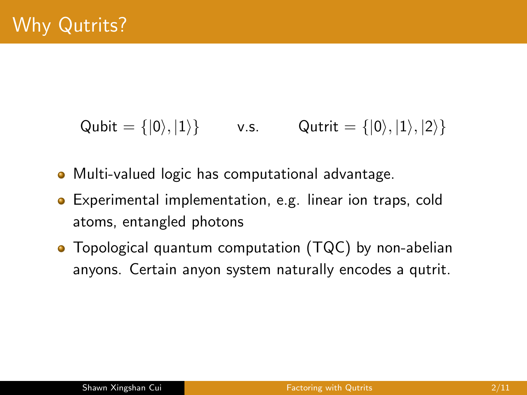### $Qubit = \{|0\rangle, |1\rangle\}$  v.s.  $Qutrit = \{|0\rangle, |1\rangle, |2\rangle\}$

- Multi-valued logic has computational advantage.
- Experimental implementation, e.g. linear ion traps, cold atoms, entangled photons
- **•** Topological quantum computation (TQC) by non-abelian anyons. Certain anyon system naturally encodes a qutrit.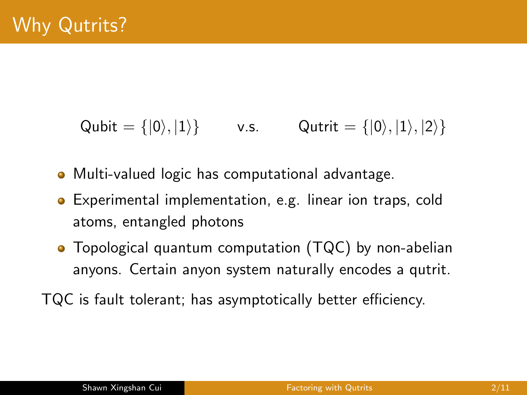$\text{Qubit} = \{|0\rangle, |1\rangle\}$  v.s.  $\text{Qutrit} = \{|0\rangle, |1\rangle, |2\rangle\}$ 

- Multi-valued logic has computational advantage.
- Experimental implementation, e.g. linear ion traps, cold atoms, entangled photons
- **•** Topological quantum computation (TQC) by non-abelian anyons. Certain anyon system naturally encodes a qutrit.

TQC is fault tolerant; has asymptotically better efficiency.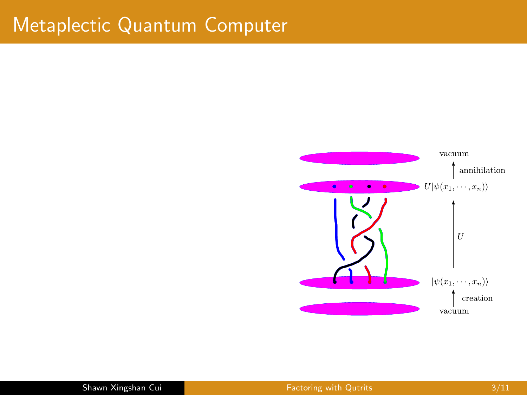### Metaplectic Quantum Computer

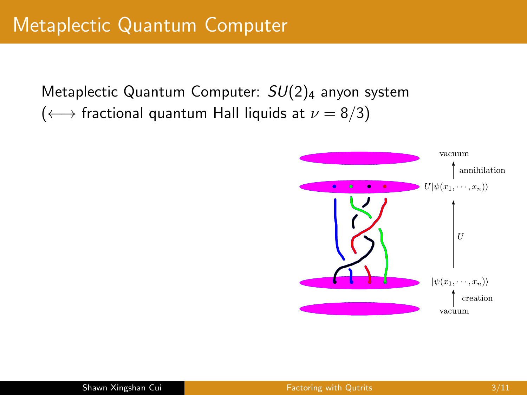Metaplectic Quantum Computer:  $SU(2)_4$  anyon system  $(\leftrightarrow$  fractional quantum Hall liquids at  $\nu = 8/3$ )

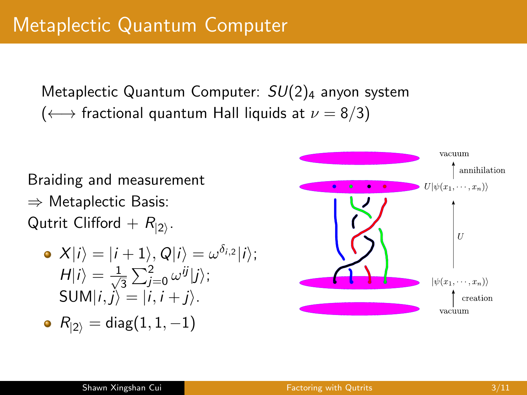Metaplectic Quantum Computer:  $SU(2)_4$  anyon system  $(\leftrightarrow$  fractional quantum Hall liquids at  $\nu = 8/3$ )

Braiding and measurement  $\Rightarrow$  Metaplectic Basis: Qutrit Clifford  $+$   $R_{|2\rangle}$ .

 $X|i\rangle =|i+1\rangle,$   $Q|i\rangle =\omega^{\delta_{i,2}}|i\rangle;$  $H|i\rangle = \frac{1}{\sqrt{2}}$  $\frac{1}{3}\sum_{j=0}^2\omega^{ij}|j\rangle;$  $SUM|i,j\rangle = |i,i+j\rangle.$ 

$$
\bullet \ \mathit{R}_{|2\rangle} = \mathsf{diag}(1,1,-1)
$$

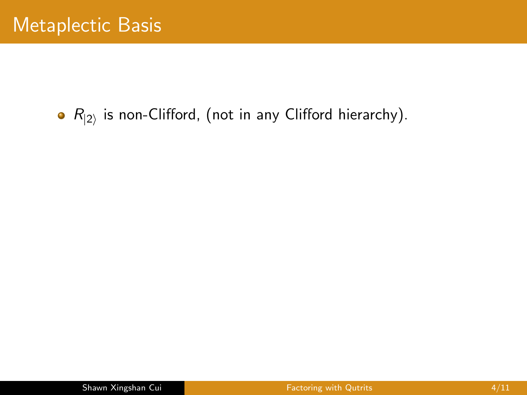## $R_{|2\rangle}$  is non-Clifford, (not in any Clifford hierarchy).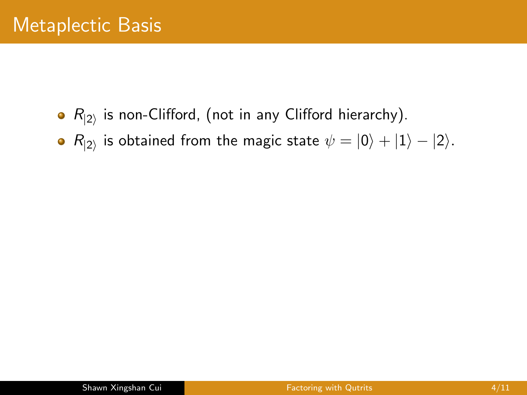- $R_{|2\rangle}$  is non-Clifford, (not in any Clifford hierarchy).
- $R_{|2\rangle}$  is obtained from the magic state  $\psi = |0\rangle + |1\rangle |2\rangle.$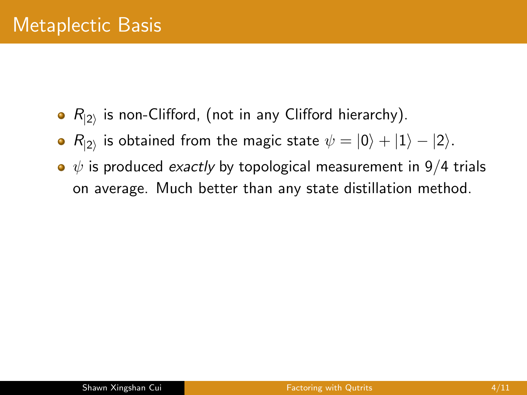- $R_{|2\rangle}$  is non-Clifford, (not in any Clifford hierarchy).
- $R_{|2\rangle}$  is obtained from the magic state  $\psi = |0\rangle + |1\rangle |2\rangle.$
- $\bullet \psi$  is produced exactly by topological measurement in 9/4 trials on average. Much better than any state distillation method.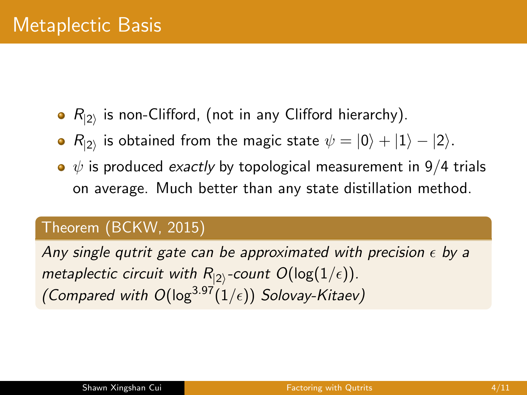- $R_{|2\rangle}$  is non-Clifford, (not in any Clifford hierarchy).
- $R_{|2\rangle}$  is obtained from the magic state  $\psi = |0\rangle + |1\rangle |2\rangle.$
- $\bullet \psi$  is produced *exactly* by topological measurement in 9/4 trials on average. Much better than any state distillation method.

#### Theorem (BCKW, 2015)

Any single qutrit gate can be approximated with precision  $\epsilon$  by a metaplectic circuit with  $R_{|2\rangle}$ -count  $O(\log(1/\epsilon)).$ (Compared with  $O(\log^{3.97}(1/\epsilon))$  Solovay-Kitaev)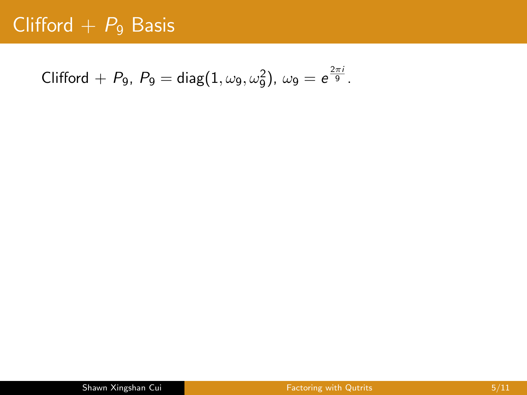# Clifford  $+$   $P_9$  Basis

Clifford + P<sub>9</sub>, P<sub>9</sub> = diag(1, 
$$
\omega_9
$$
,  $\omega_9^2$ ),  $\omega_9 = e^{\frac{2\pi i}{9}}$ .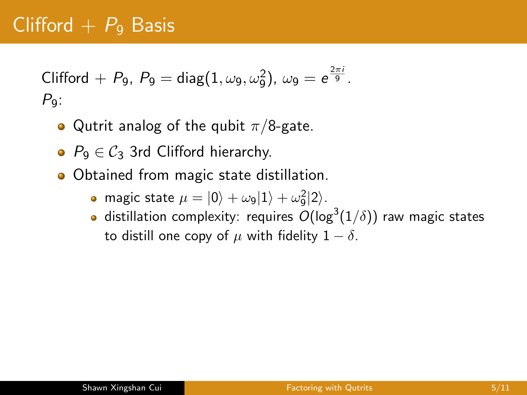## Clifford  $+$   $P_0$  Basis

Clifford  $+$   $P_9$ ,  $P_9$  = diag $(1, \omega_9, \omega_9^2)$ ,  $\omega_9$  =  $e^{\frac{2\pi i}{9}}$ .  $P<sub>9</sub>$ :

- Qutrit analog of the qubit  $\pi/8$ -gate.
- $P_9 \in C_3$  3rd Clifford hierarchy.
- Obtained from magic state distillation.
	- magic state  $\mu = |0\rangle + \omega_9|1\rangle + \omega_9^2|2\rangle$ .
	- distillation complexity: requires  $O(\log^3(1/\delta))$  raw magic states to distill one copy of  $\mu$  with fidelity  $1 - \delta$ .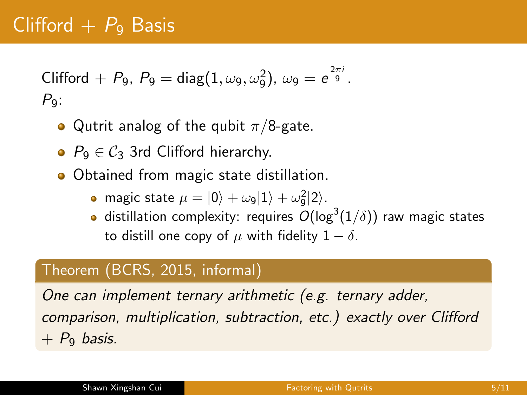## Clifford  $+$   $P_9$  Basis

Clifford  $+$   $P_9$ ,  $P_9$  = diag $(1, \omega_9, \omega_9^2)$ ,  $\omega_9$  =  $e^{\frac{2\pi i}{9}}$ .  $P<sub>9</sub>$ :

- Qutrit analog of the qubit  $\pi/8$ -gate.
- $P_9 \in C_3$  3rd Clifford hierarchy.
- Obtained from magic state distillation.
	- magic state  $\mu = |0\rangle + \omega_9|1\rangle + \omega_9^2|2\rangle$ .
	- distillation complexity: requires  $O(\log^3(1/\delta))$  raw magic states to distill one copy of  $\mu$  with fidelity  $1 - \delta$ .

#### Theorem (BCRS, 2015, informal)

One can implement ternary arithmetic (e.g. ternary adder, comparison, multiplication, subtraction, etc.) exactly over Clifford  $+$   $P_9$  basis.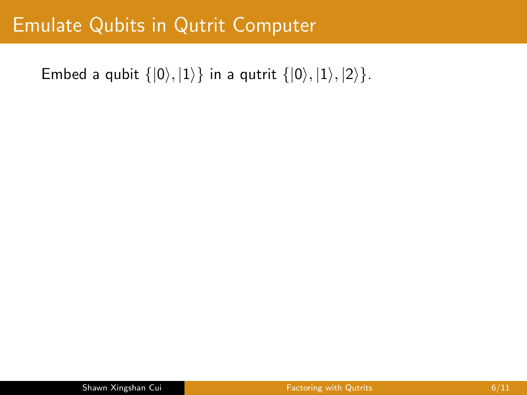# Emulate Qubits in Qutrit Computer

Embed a qubit  $\{|0\rangle, |1\rangle\}$  in a qutrit  $\{|0\rangle, |1\rangle, |2\rangle\}$ .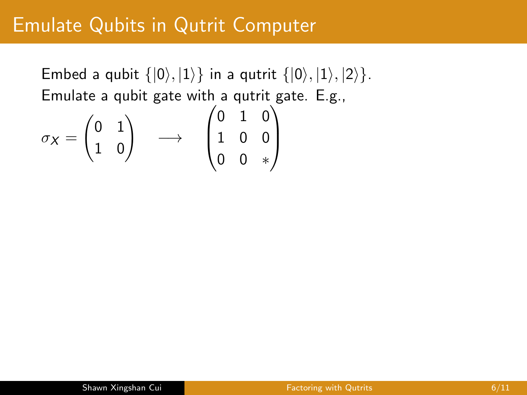# Emulate Qubits in Qutrit Computer

Embed a qubit  $\{|0\rangle, |1\rangle\}$  in a qutrit  $\{|0\rangle, |1\rangle, |2\rangle\}$ . Emulate a qubit gate with a qutrit gate. E.g.,

$$
\sigma_X = \begin{pmatrix} 0 & 1 \\ 1 & 0 \end{pmatrix} \longrightarrow \begin{pmatrix} 0 & 1 & 0 \\ 1 & 0 & 0 \\ 0 & 0 & * \end{pmatrix}
$$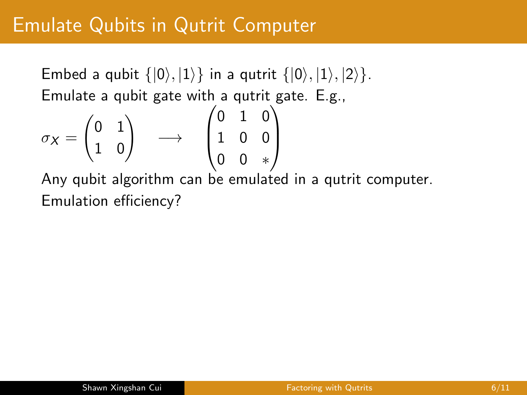# Emulate Qubits in Qutrit Computer

Embed a qubit  $\{|0\rangle, |1\rangle\}$  in a qutrit  $\{|0\rangle, |1\rangle, |2\rangle\}$ . Emulate a qubit gate with a qutrit gate. E.g.,

$$
\sigma_X = \begin{pmatrix} 0 & 1 \\ 1 & 0 \end{pmatrix} \quad \longrightarrow \quad \begin{pmatrix} 0 & 1 & 0 \\ 1 & 0 & 0 \\ 0 & 0 & * \end{pmatrix}
$$

Any qubit algorithm can be emulated in a qutrit computer. Emulation efficiency?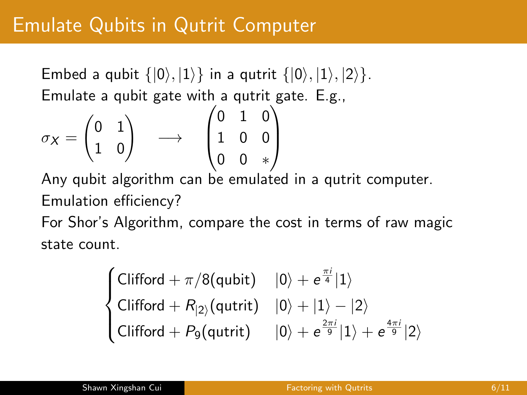Embed a qubit  $\{|0\rangle, |1\rangle\}$  in a qutrit  $\{|0\rangle, |1\rangle, |2\rangle\}$ . Emulate a qubit gate with a qutrit gate. E.g.,

$$
\sigma_X=\begin{pmatrix}0&1\\1&0\end{pmatrix}\quad\longrightarrow\quad \begin{pmatrix}0&1&0\\1&0&0\\0&0&*\end{pmatrix}
$$

Any qubit algorithm can be emulated in a qutrit computer. Emulation efficiency?

For Shor's Algorithm, compare the cost in terms of raw magic state count.

$$
\begin{cases}\n\text{Clifford} + \pi/8(\text{qubit}) & |0\rangle + e^{\frac{\pi i}{4}}|1\rangle \\
\text{Clifford} + R_{|2\rangle}(\text{qutrit}) & |0\rangle + |1\rangle - |2\rangle \\
\text{Clifford} + P_9(\text{qutrit}) & |0\rangle + e^{\frac{2\pi i}{9}}|1\rangle + e^{\frac{4\pi i}{9}}|2\rangle\n\end{cases}
$$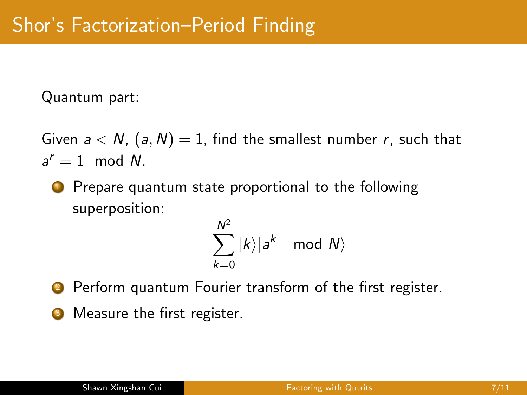Quantum part:

Given  $a < N$ ,  $(a, N) = 1$ , find the smallest number r, such that  $a^r = 1 \mod N$ .

**1** Prepare quantum state proportional to the following superposition:

$$
\sum_{k=0}^{N^2} |k\rangle |a^k \mod N\rangle
$$

- <sup>2</sup> Perform quantum Fourier transform of the first register.
- **3** Measure the first register.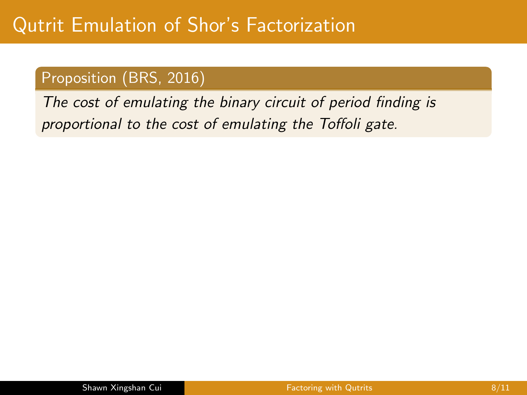### Proposition (BRS, 2016)

The cost of emulating the binary circuit of period finding is proportional to the cost of emulating the Toffoli gate.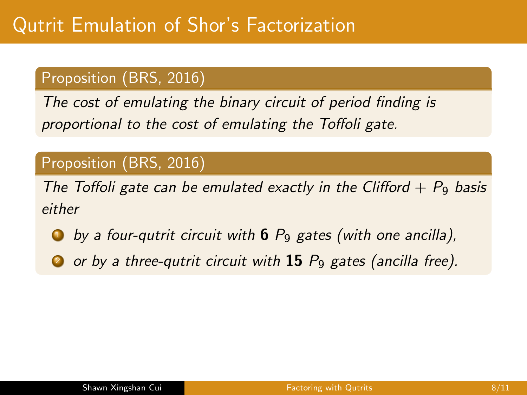### Proposition (BRS, 2016)

The cost of emulating the binary circuit of period finding is proportional to the cost of emulating the Toffoli gate.

#### Proposition (BRS, 2016)

The Toffoli gate can be emulated exactly in the Clifford  $+$   $P<sub>9</sub>$  basis either

- **1** by a four-qutrit circuit with  $6$   $P_9$  gates (with one ancilla),
- $\bullet$  or by a three-qutrit circuit with 15  $P_9$  gates (ancilla free).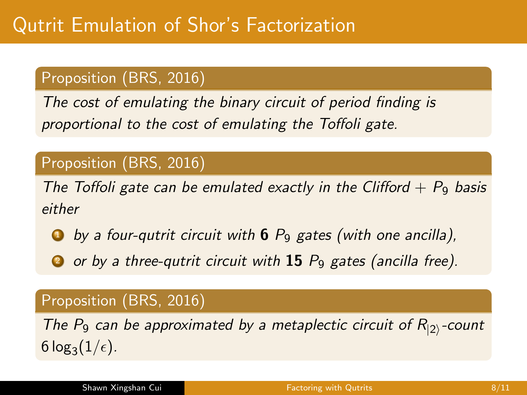### Proposition (BRS, 2016)

The cost of emulating the binary circuit of period finding is proportional to the cost of emulating the Toffoli gate.

#### Proposition (BRS, 2016)

The Toffoli gate can be emulated exactly in the Clifford  $+$   $P<sub>9</sub>$  basis either

- **1** by a four-qutrit circuit with  $6$   $P_9$  gates (with one ancilla),
- $\bullet$  or by a three-qutrit circuit with 15  $P_9$  gates (ancilla free).

#### Proposition (BRS, 2016)

The P<sub>9</sub> can be approximated by a metaplectic circuit of  $R_{(2)}$ -count  $6\log_3(1/\epsilon).$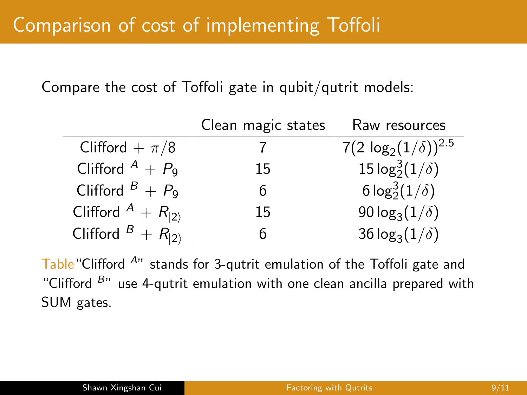Compare the cost of Toffoli gate in qubit/qutrit models:

|                       | Clean magic states | Raw resources                          |
|-----------------------|--------------------|----------------------------------------|
| Clifford + $\pi/8$    |                    | 7(2 $log_2(1/\delta)$ ) <sup>2.5</sup> |
| Clifford $A + P_9$    | 15                 | 15 $log_2^3(1/\delta)$                 |
| Clifford $B + P_9$    |                    | 6 $log_2^3(1/\delta)$                  |
| Clifford $A + R_{2}$  | 15                 | 90 $log_3(1/\delta)$                   |
| Clifford $B + R_{12}$ |                    | 36 $log_3(1/\delta)$                   |

Table "Clifford <sup>A</sup>" stands for 3-qutrit emulation of the Toffoli gate and "Clifford  $B$ " use 4-qutrit emulation with one clean ancilla prepared with SUM gates.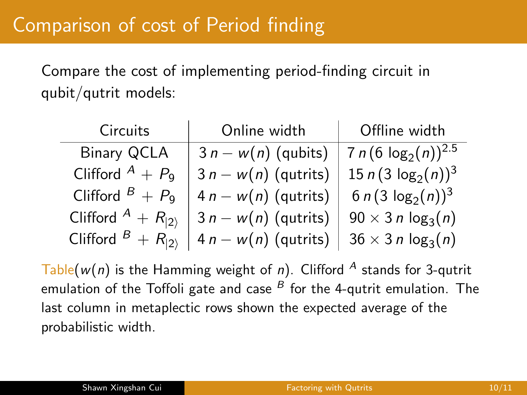Compare the cost of implementing period-finding circuit in qubit/qutrit models:

| <b>Circuits</b>    | Online width                                 | Offline width             |
|--------------------|----------------------------------------------|---------------------------|
| <b>Binary QCLA</b> | $3 n - w(n)$ (qubits)                        | $7 n (6 \log_2(n))^{2.5}$ |
| Clifford $A + P_9$ | $3 n - w(n)$ (qutrits)                       | $15 n (3 log2(n))^{3}$    |
| Clifford $B + P_9$ | $4 n - w(n)$ (qutrits)                       | $6 n (3 log2(n))^{3}$     |
|                    | Clifford $A + R_{12}$   3 n – w(n) (qutrits) | $90 \times 3 n \log_3(n)$ |
|                    | Clifford $B + R_{2}$   4 n – w(n) (qutrits)  | $36 \times 3 n \log_3(n)$ |

Table( $w(n)$  is the Hamming weight of n). Clifford <sup>A</sup> stands for 3-qutrit emulation of the Toffoli gate and case  $B$  for the 4-qutrit emulation. The last column in metaplectic rows shown the expected average of the probabilistic width.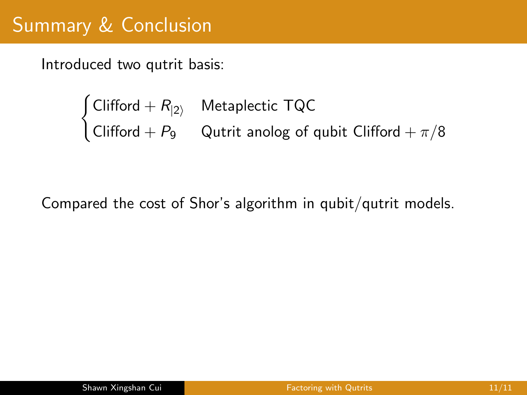Introduced two qutrit basis:

 $\int$  Clifford +  $R_{2}$  Metaplectic TQC Clifford +  $P_9$  Qutrit anolog of qubit Clifford +  $\pi/8$ 

Compared the cost of Shor's algorithm in qubit/qutrit models.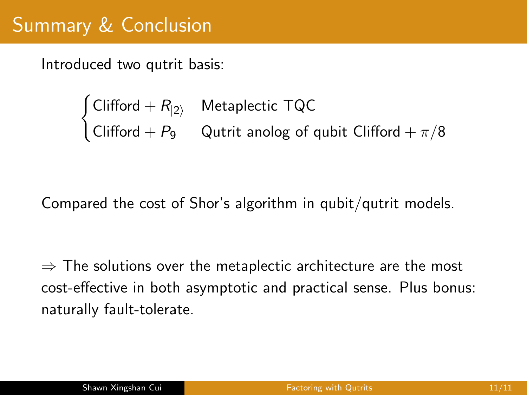Introduced two qutrit basis:

 $\int$  Clifford +  $R_{2}$  Metaplectic TQC Clifford +  $P_9$  Qutrit anolog of qubit Clifford +  $\pi/8$ 

Compared the cost of Shor's algorithm in qubit/qutrit models.

 $\Rightarrow$  The solutions over the metaplectic architecture are the most cost-effective in both asymptotic and practical sense. Plus bonus: naturally fault-tolerate.